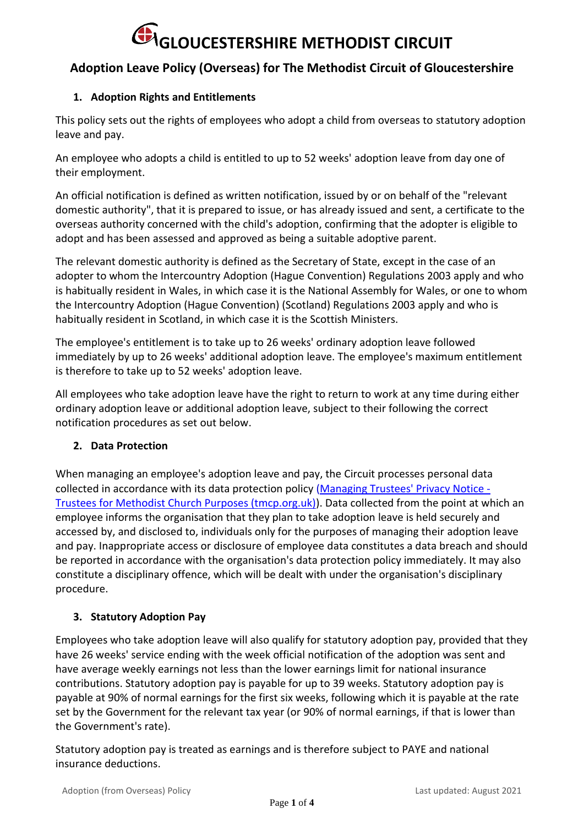### **Adoption Leave Policy (Overseas) for The Methodist Circuit of Gloucestershire**

### **1. Adoption Rights and Entitlements**

This policy sets out the rights of employees who adopt a child from overseas to statutory adoption leave and pay.

An employee who adopts a child is entitled to up to 52 weeks' adoption leave from day one of their employment.

An official notification is defined as written notification, issued by or on behalf of the "relevant domestic authority", that it is prepared to issue, or has already issued and sent, a certificate to the overseas authority concerned with the child's adoption, confirming that the adopter is eligible to adopt and has been assessed and approved as being a suitable adoptive parent.

The relevant domestic authority is defined as the Secretary of State, except in the case of an adopter to whom the Intercountry Adoption (Hague Convention) Regulations 2003 apply and who is habitually resident in Wales, in which case it is the National Assembly for Wales, or one to whom the Intercountry Adoption (Hague Convention) (Scotland) Regulations 2003 apply and who is habitually resident in Scotland, in which case it is the Scottish Ministers.

The employee's entitlement is to take up to 26 weeks' ordinary adoption leave followed immediately by up to 26 weeks' additional adoption leave. The employee's maximum entitlement is therefore to take up to 52 weeks' adoption leave.

All employees who take adoption leave have the right to return to work at any time during either ordinary adoption leave or additional adoption leave, subject to their following the correct notification procedures as set out below.

### **2. Data Protection**

When managing an employee's adoption leave and pay, the Circuit processes personal data collected in accordance with its data protection policy [\(Managing Trustees' Privacy Notice -](https://www.tmcp.org.uk/about/data-protection/managing-trustees-privacy-notice) [Trustees for Methodist Church Purposes \(tmcp.org.uk\)\)](https://www.tmcp.org.uk/about/data-protection/managing-trustees-privacy-notice). Data collected from the point at which an employee informs the organisation that they plan to take adoption leave is held securely and accessed by, and disclosed to, individuals only for the purposes of managing their adoption leave and pay. Inappropriate access or disclosure of employee data constitutes a data breach and should be reported in accordance with the organisation's data protection policy immediately. It may also constitute a disciplinary offence, which will be dealt with under the organisation's disciplinary procedure.

### **3. Statutory Adoption Pay**

Employees who take adoption leave will also qualify for statutory adoption pay, provided that they have 26 weeks' service ending with the week official notification of the adoption was sent and have average weekly earnings not less than the lower earnings limit for national insurance contributions. Statutory adoption pay is payable for up to 39 weeks. Statutory adoption pay is payable at 90% of normal earnings for the first six weeks, following which it is payable at the rate set by the Government for the relevant tax year (or 90% of normal earnings, if that is lower than the Government's rate).

Statutory adoption pay is treated as earnings and is therefore subject to PAYE and national insurance deductions.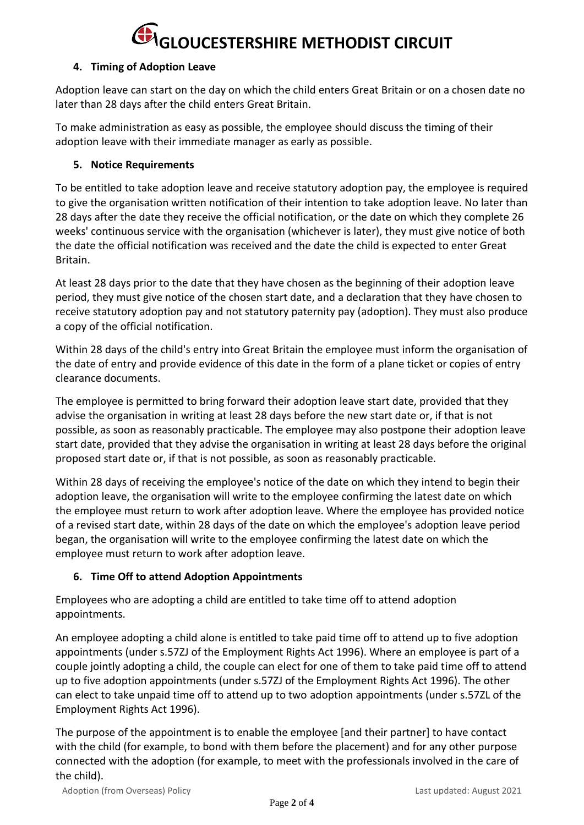### **4. Timing of Adoption Leave**

Adoption leave can start on the day on which the child enters Great Britain or on a chosen date no later than 28 days after the child enters Great Britain.

To make administration as easy as possible, the employee should discuss the timing of their adoption leave with their immediate manager as early as possible.

### **5. Notice Requirements**

To be entitled to take adoption leave and receive statutory adoption pay, the employee is required to give the organisation written notification of their intention to take adoption leave. No later than 28 days after the date they receive the official notification, or the date on which they complete 26 weeks' continuous service with the organisation (whichever is later), they must give notice of both the date the official notification was received and the date the child is expected to enter Great Britain.

At least 28 days prior to the date that they have chosen as the beginning of their adoption leave period, they must give notice of the chosen start date, and a declaration that they have chosen to receive statutory adoption pay and not statutory paternity pay (adoption). They must also produce a copy of the official notification.

Within 28 days of the child's entry into Great Britain the employee must inform the organisation of the date of entry and provide evidence of this date in the form of a plane ticket or copies of entry clearance documents.

The employee is permitted to bring forward their adoption leave start date, provided that they advise the organisation in writing at least 28 days before the new start date or, if that is not possible, as soon as reasonably practicable. The employee may also postpone their adoption leave start date, provided that they advise the organisation in writing at least 28 days before the original proposed start date or, if that is not possible, as soon as reasonably practicable.

Within 28 days of receiving the employee's notice of the date on which they intend to begin their adoption leave, the organisation will write to the employee confirming the latest date on which the employee must return to work after adoption leave. Where the employee has provided notice of a revised start date, within 28 days of the date on which the employee's adoption leave period began, the organisation will write to the employee confirming the latest date on which the employee must return to work after adoption leave.

### **6. Time Off to attend Adoption Appointments**

Employees who are adopting a child are entitled to take time off to attend adoption appointments.

An employee adopting a child alone is entitled to take paid time off to attend up to five adoption appointments (under s.57ZJ of the Employment Rights Act 1996). Where an employee is part of a couple jointly adopting a child, the couple can elect for one of them to take paid time off to attend up to five adoption appointments (under s.57ZJ of the Employment Rights Act 1996). The other can elect to take unpaid time off to attend up to two adoption appointments (under s.57ZL of the Employment Rights Act 1996).

The purpose of the appointment is to enable the employee [and their partner] to have contact with the child (for example, to bond with them before the placement) and for any other purpose connected with the adoption (for example, to meet with the professionals involved in the care of the child).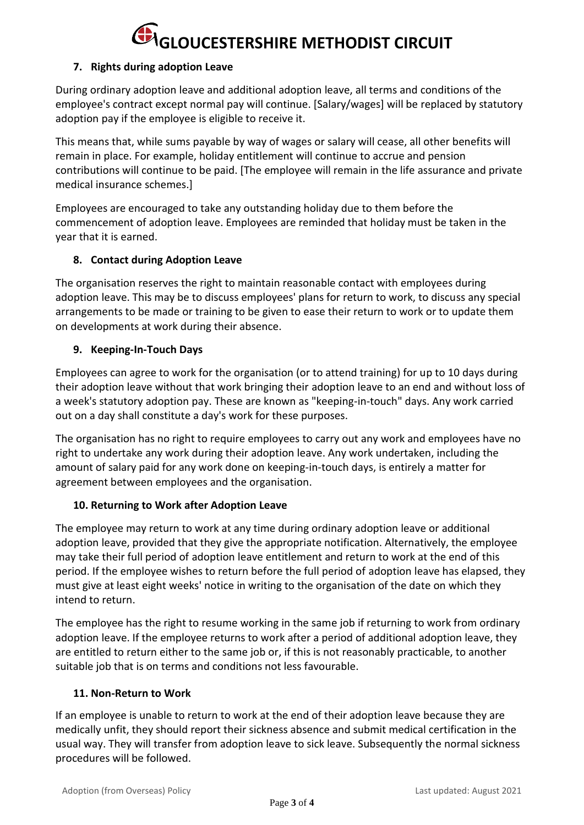### **7. Rights during adoption Leave**

During ordinary adoption leave and additional adoption leave, all terms and conditions of the employee's contract except normal pay will continue. [Salary/wages] will be replaced by statutory adoption pay if the employee is eligible to receive it.

This means that, while sums payable by way of wages or salary will cease, all other benefits will remain in place. For example, holiday entitlement will continue to accrue and pension contributions will continue to be paid. [The employee will remain in the life assurance and private medical insurance schemes.]

Employees are encouraged to take any outstanding holiday due to them before the commencement of adoption leave. Employees are reminded that holiday must be taken in the year that it is earned.

### **8. Contact during Adoption Leave**

The organisation reserves the right to maintain reasonable contact with employees during adoption leave. This may be to discuss employees' plans for return to work, to discuss any special arrangements to be made or training to be given to ease their return to work or to update them on developments at work during their absence.

### **9. Keeping-In-Touch Days**

Employees can agree to work for the organisation (or to attend training) for up to 10 days during their adoption leave without that work bringing their adoption leave to an end and without loss of a week's statutory adoption pay. These are known as "keeping-in-touch" days. Any work carried out on a day shall constitute a day's work for these purposes.

The organisation has no right to require employees to carry out any work and employees have no right to undertake any work during their adoption leave. Any work undertaken, including the amount of salary paid for any work done on keeping-in-touch days, is entirely a matter for agreement between employees and the organisation.

### **10. Returning to Work after Adoption Leave**

The employee may return to work at any time during ordinary adoption leave or additional adoption leave, provided that they give the appropriate notification. Alternatively, the employee may take their full period of adoption leave entitlement and return to work at the end of this period. If the employee wishes to return before the full period of adoption leave has elapsed, they must give at least eight weeks' notice in writing to the organisation of the date on which they intend to return.

The employee has the right to resume working in the same job if returning to work from ordinary adoption leave. If the employee returns to work after a period of additional adoption leave, they are entitled to return either to the same job or, if this is not reasonably practicable, to another suitable job that is on terms and conditions not less favourable.

#### **11. Non-Return to Work**

If an employee is unable to return to work at the end of their adoption leave because they are medically unfit, they should report their sickness absence and submit medical certification in the usual way. They will transfer from adoption leave to sick leave. Subsequently the normal sickness procedures will be followed.